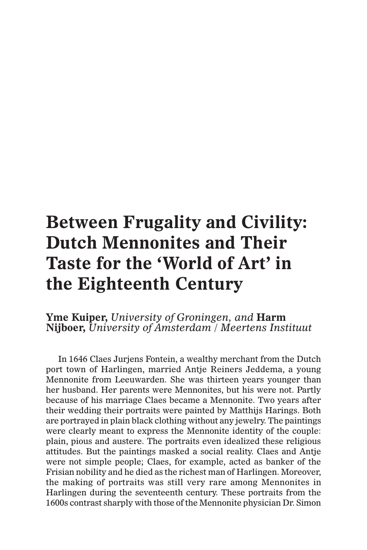# **Between Frugality and Civility: Dutch Mennonites and Their Taste for the 'World of Art' in the Eighteenth Century**

**Yme Kuiper,** *University of Groningen, and* **Harm Nijboer,** *University of Amsterdam / Meertens Instituut*

In 1646 Claes Jurjens Fontein, a wealthy merchant from the Dutch port town of Harlingen, married Antje Reiners Jeddema, a young Mennonite from Leeuwarden. She was thirteen years younger than her husband. Her parents were Mennonites, but his were not. Partly because of his marriage Claes became a Mennonite. Two years after their wedding their portraits were painted by Matthijs Harings. Both are portrayed in plain black clothing without any jewelry. The paintings were clearly meant to express the Mennonite identity of the couple: plain, pious and austere. The portraits even idealized these religious attitudes. But the paintings masked a social reality. Claes and Antje were not simple people; Claes, for example, acted as banker of the Frisian nobility and he died as the richest man of Harlingen. Moreover, the making of portraits was still very rare among Mennonites in Harlingen during the seventeenth century. These portraits from the 1600s contrast sharply with those of the Mennonite physician Dr. Simon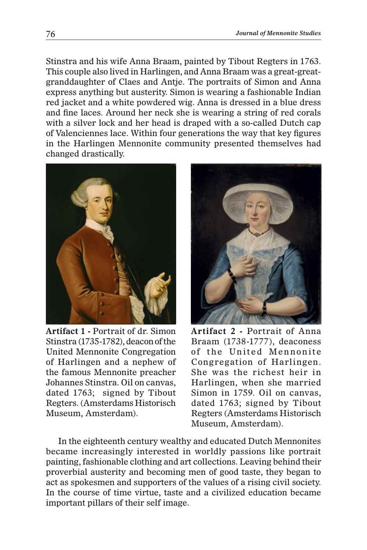Stinstra and his wife Anna Braam, painted by Tibout Regters in 1763. This couple also lived in Harlingen, and Anna Braam was a great-greatgranddaughter of Claes and Antje. The portraits of Simon and Anna express anything but austerity. Simon is wearing a fashionable Indian red jacket and a white powdered wig. Anna is dressed in a blue dress and fine laces. Around her neck she is wearing a string of red corals with a silver lock and her head is draped with a so-called Dutch cap of Valenciennes lace. Within four generations the way that key figures in the Harlingen Mennonite community presented themselves had changed drastically.



**Artifact 1 -** Portrait of dr. Simon Stinstra (1735-1782), deacon of the United Mennonite Congregation of Harlingen and a nephew of the famous Mennonite preacher Johannes Stinstra. Oil on canvas, dated 1763; signed by Tibout Regters. (Amsterdams Historisch Museum, Amsterdam).



**Artifact 2 -** Portrait of Anna Braam (1738-1777), deaconess of the United Mennonite Congregation of Harlingen. She was the richest heir in Harlingen, when she married Simon in 1759. Oil on canvas, dated 1763; signed by Tibout Regters (Amsterdams Historisch Museum, Amsterdam).

In the eighteenth century wealthy and educated Dutch Mennonites became increasingly interested in worldly passions like portrait painting, fashionable clothing and art collections. Leaving behind their proverbial austerity and becoming men of good taste, they began to act as spokesmen and supporters of the values of a rising civil society. In the course of time virtue, taste and a civilized education became important pillars of their self image.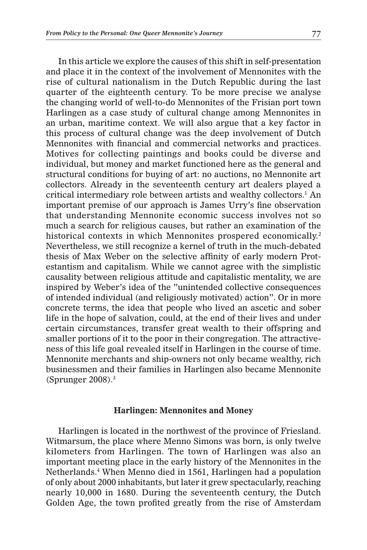In this article we explore the causes of this shift in self-presentation and place it in the context of the involvement of Mennonites with the rise of cultural nationalism in the Dutch Republic during the last quarter of the eighteenth century. To be more precise we analyse the changing world of well-to-do Mennonites of the Frisian port town Harlingen as a case study of cultural change among Mennonites in an urban, maritime context. We will also argue that a key factor in this process of cultural change was the deep involvement of Dutch Mennonites with financial and commercial networks and practices. Motives for collecting paintings and books could be diverse and individual, but money and market functioned here as the general and structural conditions for buying of art: no auctions, no Mennonite art collectors. Already in the seventeenth century art dealers played a critical intermediary role between artists and wealthy collectors.1 An important premise of our approach is James Urry's fine observation that understanding Mennonite economic success involves not so much a search for religious causes, but rather an examination of the historical contexts in which Mennonites prospered economically.<sup>2</sup> Nevertheless, we still recognize a kernel of truth in the much-debated thesis of Max Weber on the selective affinity of early modern Protestantism and capitalism. While we cannot agree with the simplistic causality between religious attitude and capitalistic mentality, we are inspired by Weber's idea of the "unintended collective consequences of intended individual (and religiously motivated) action". Or in more concrete terms, the idea that people who lived an ascetic and sober life in the hope of salvation, could, at the end of their lives and under certain circumstances, transfer great wealth to their offspring and smaller portions of it to the poor in their congregation. The attractiveness of this life goal revealed itself in Harlingen in the course of time. Mennonite merchants and ship-owners not only became wealthy, rich businessmen and their families in Harlingen also became Mennonite (Sprunger  $2008$ ).<sup>3</sup>

#### **Harlingen: Mennonites and Money**

Harlingen is located in the northwest of the province of Friesland. Witmarsum, the place where Menno Simons was born, is only twelve kilometers from Harlingen. The town of Harlingen was also an important meeting place in the early history of the Mennonites in the Netherlands.4 When Menno died in 1561, Harlingen had a population of only about 2000 inhabitants, but later it grew spectacularly, reaching nearly 10,000 in 1680. During the seventeenth century, the Dutch Golden Age, the town profited greatly from the rise of Amsterdam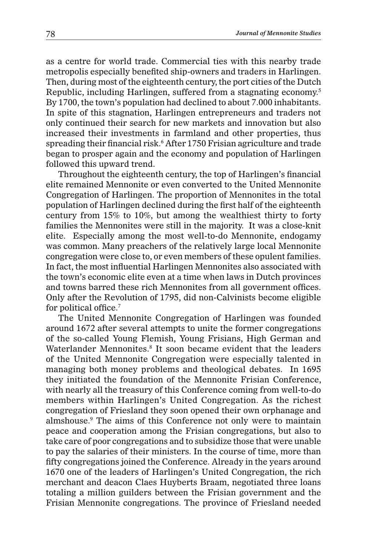as a centre for world trade. Commercial ties with this nearby trade metropolis especially benefited ship-owners and traders in Harlingen. Then, during most of the eighteenth century, the port cities of the Dutch Republic, including Harlingen, suffered from a stagnating economy.5 By 1700, the town's population had declined to about 7.000 inhabitants. In spite of this stagnation, Harlingen entrepreneurs and traders not only continued their search for new markets and innovation but also increased their investments in farmland and other properties, thus spreading their financial risk.<sup>6</sup> After 1750 Frisian agriculture and trade began to prosper again and the economy and population of Harlingen followed this upward trend.

Throughout the eighteenth century, the top of Harlingen's financial elite remained Mennonite or even converted to the United Mennonite Congregation of Harlingen. The proportion of Mennonites in the total population of Harlingen declined during the first half of the eighteenth century from 15% to 10%, but among the wealthiest thirty to forty families the Mennonites were still in the majority. It was a close-knit elite. Especially among the most well-to-do Mennonite, endogamy was common. Many preachers of the relatively large local Mennonite congregation were close to, or even members of these opulent families. In fact, the most influential Harlingen Mennonites also associated with the town's economic elite even at a time when laws in Dutch provinces and towns barred these rich Mennonites from all government offices. Only after the Revolution of 1795, did non-Calvinists become eligible for political office.7

The United Mennonite Congregation of Harlingen was founded around 1672 after several attempts to unite the former congregations of the so-called Young Flemish, Young Frisians, High German and Waterlander Mennonites.<sup>8</sup> It soon became evident that the leaders of the United Mennonite Congregation were especially talented in managing both money problems and theological debates. In 1695 they initiated the foundation of the Mennonite Frisian Conference, with nearly all the treasury of this Conference coming from well-to-do members within Harlingen's United Congregation. As the richest congregation of Friesland they soon opened their own orphanage and almshouse.9 The aims of this Conference not only were to maintain peace and cooperation among the Frisian congregations, but also to take care of poor congregations and to subsidize those that were unable to pay the salaries of their ministers. In the course of time, more than fifty congregations joined the Conference. Already in the years around 1670 one of the leaders of Harlingen's United Congregation, the rich merchant and deacon Claes Huyberts Braam, negotiated three loans totaling a million guilders between the Frisian government and the Frisian Mennonite congregations. The province of Friesland needed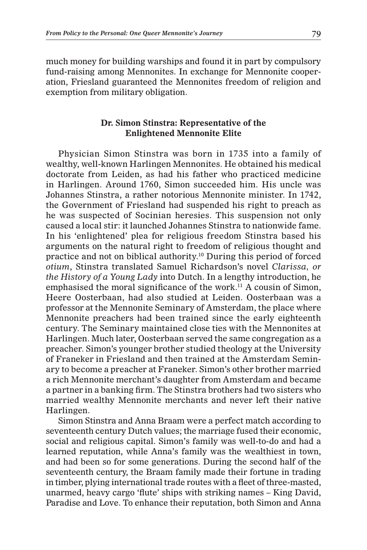much money for building warships and found it in part by compulsory fund-raising among Mennonites. In exchange for Mennonite cooperation, Friesland guaranteed the Mennonites freedom of religion and exemption from military obligation.

## **Dr. Simon Stinstra: Representative of the Enlightened Mennonite Elite**

Physician Simon Stinstra was born in 1735 into a family of wealthy, well-known Harlingen Mennonites. He obtained his medical doctorate from Leiden, as had his father who practiced medicine in Harlingen. Around 1760, Simon succeeded him. His uncle was Johannes Stinstra, a rather notorious Mennonite minister. In 1742, the Government of Friesland had suspended his right to preach as he was suspected of Socinian heresies. This suspension not only caused a local stir: it launched Johannes Stinstra to nationwide fame. In his 'enlightened' plea for religious freedom Stinstra based his arguments on the natural right to freedom of religious thought and practice and not on biblical authority.10 During this period of forced *otium*, Stinstra translated Samuel Richardson's novel *Clarissa, or the History of a Young Lady* into Dutch. In a lengthy introduction, he emphasised the moral significance of the work.11 A cousin of Simon, Heere Oosterbaan, had also studied at Leiden. Oosterbaan was a professor at the Mennonite Seminary of Amsterdam, the place where Mennonite preachers had been trained since the early eighteenth century. The Seminary maintained close ties with the Mennonites at Harlingen. Much later, Oosterbaan served the same congregation as a preacher. Simon's younger brother studied theology at the University of Franeker in Friesland and then trained at the Amsterdam Seminary to become a preacher at Franeker. Simon's other brother married a rich Mennonite merchant's daughter from Amsterdam and became a partner in a banking firm. The Stinstra brothers had two sisters who married wealthy Mennonite merchants and never left their native Harlingen.

Simon Stinstra and Anna Braam were a perfect match according to seventeenth century Dutch values; the marriage fused their economic, social and religious capital. Simon's family was well-to-do and had a learned reputation, while Anna's family was the wealthiest in town, and had been so for some generations. During the second half of the seventeenth century, the Braam family made their fortune in trading in timber, plying international trade routes with a fleet of three-masted, unarmed, heavy cargo 'flute' ships with striking names – King David, Paradise and Love. To enhance their reputation, both Simon and Anna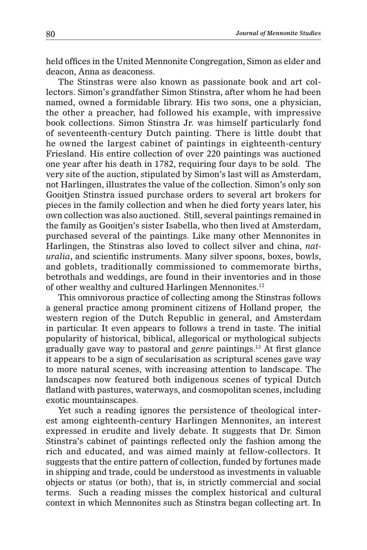held offices in the United Mennonite Congregation, Simon as elder and deacon, Anna as deaconess.

The Stinstras were also known as passionate book and art collectors. Simon's grandfather Simon Stinstra, after whom he had been named, owned a formidable library. His two sons, one a physician, the other a preacher, had followed his example, with impressive book collections. Simon Stinstra Jr. was himself particularly fond of seventeenth-century Dutch painting. There is little doubt that he owned the largest cabinet of paintings in eighteenth-century Friesland. His entire collection of over 220 paintings was auctioned one year after his death in 1782, requiring four days to be sold. The very site of the auction, stipulated by Simon's last will as Amsterdam, not Harlingen, illustrates the value of the collection. Simon's only son Gooitjen Stinstra issued purchase orders to several art brokers for pieces in the family collection and when he died forty years later, his own collection was also auctioned. Still, several paintings remained in the family as Gooitjen's sister Isabella, who then lived at Amsterdam, purchased several of the paintings. Like many other Mennonites in Harlingen, the Stinstras also loved to collect silver and china, *naturalia*, and scientific instruments. Many silver spoons, boxes, bowls, and goblets, traditionally commissioned to commemorate births, betrothals and weddings, are found in their inventories and in those of other wealthy and cultured Harlingen Mennonites.<sup>12</sup>

This omnivorous practice of collecting among the Stinstras follows a general practice among prominent citizens of Holland proper, the western region of the Dutch Republic in general, and Amsterdam in particular. It even appears to follows a trend in taste. The initial popularity of historical, biblical, allegorical or mythological subjects gradually gave way to pastoral and *genre* paintings.13 At first glance it appears to be a sign of secularisation as scriptural scenes gave way to more natural scenes, with increasing attention to landscape. The landscapes now featured both indigenous scenes of typical Dutch flatland with pastures, waterways, and cosmopolitan scenes, including exotic mountainscapes.

Yet such a reading ignores the persistence of theological interest among eighteenth-century Harlingen Mennonites, an interest expressed in erudite and lively debate. It suggests that Dr. Simon Stinstra's cabinet of paintings reflected only the fashion among the rich and educated, and was aimed mainly at fellow-collectors. It suggests that the entire pattern of collection, funded by fortunes made in shipping and trade, could be understood as investments in valuable objects or status (or both), that is, in strictly commercial and social terms. Such a reading misses the complex historical and cultural context in which Mennonites such as Stinstra began collecting art. In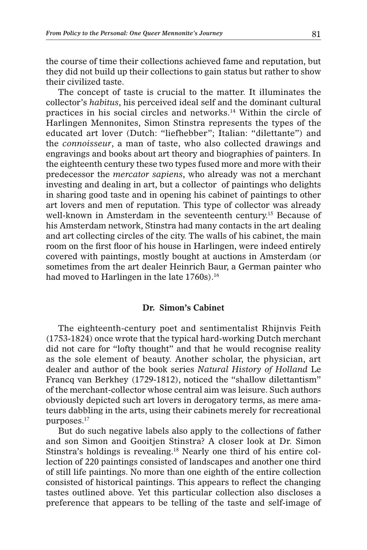the course of time their collections achieved fame and reputation, but they did not build up their collections to gain status but rather to show their civilized taste.

The concept of taste is crucial to the matter. It illuminates the collector's *habitus*, his perceived ideal self and the dominant cultural practices in his social circles and networks.14 Within the circle of Harlingen Mennonites, Simon Stinstra represents the types of the educated art lover (Dutch: "liefhebber"; Italian: "dilettante") and the *connoisseur*, a man of taste, who also collected drawings and engravings and books about art theory and biographies of painters. In the eighteenth century these two types fused more and more with their predecessor the *mercator sapiens*, who already was not a merchant investing and dealing in art, but a collector of paintings who delights in sharing good taste and in opening his cabinet of paintings to other art lovers and men of reputation. This type of collector was already well-known in Amsterdam in the seventeenth century.<sup>15</sup> Because of his Amsterdam network, Stinstra had many contacts in the art dealing and art collecting circles of the city. The walls of his cabinet, the main room on the first floor of his house in Harlingen, were indeed entirely covered with paintings, mostly bought at auctions in Amsterdam (or sometimes from the art dealer Heinrich Baur, a German painter who had moved to Harlingen in the late 1760s).<sup>16</sup>

#### **Dr. Simon's Cabinet**

The eighteenth-century poet and sentimentalist Rhijnvis Feith (1753-1824) once wrote that the typical hard-working Dutch merchant did not care for "lofty thought" and that he would recognise reality as the sole element of beauty. Another scholar, the physician, art dealer and author of the book series *Natural History of Holland* Le Francq van Berkhey (1729-1812), noticed the "shallow dilettantism" of the merchant-collector whose central aim was leisure. Such authors obviously depicted such art lovers in derogatory terms, as mere amateurs dabbling in the arts, using their cabinets merely for recreational purposes.17

But do such negative labels also apply to the collections of father and son Simon and Gooitjen Stinstra? A closer look at Dr. Simon Stinstra's holdings is revealing.18 Nearly one third of his entire collection of 220 paintings consisted of landscapes and another one third of still life paintings. No more than one eighth of the entire collection consisted of historical paintings. This appears to reflect the changing tastes outlined above. Yet this particular collection also discloses a preference that appears to be telling of the taste and self-image of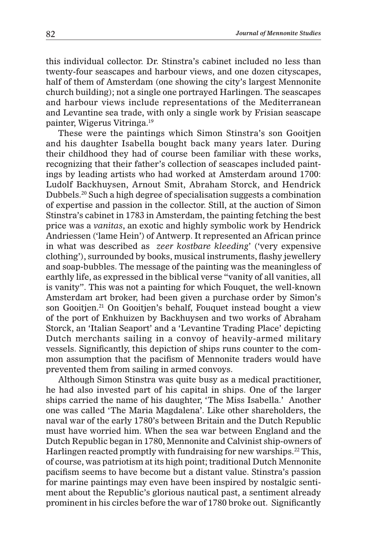this individual collector. Dr. Stinstra's cabinet included no less than twenty-four seascapes and harbour views, and one dozen cityscapes, half of them of Amsterdam (one showing the city's largest Mennonite church building); not a single one portrayed Harlingen. The seascapes and harbour views include representations of the Mediterranean and Levantine sea trade, with only a single work by Frisian seascape painter, Wigerus Vitringa.19

These were the paintings which Simon Stinstra's son Gooitjen and his daughter Isabella bought back many years later. During their childhood they had of course been familiar with these works, recognizing that their father's collection of seascapes included paintings by leading artists who had worked at Amsterdam around 1700: Ludolf Backhuysen, Arnout Smit, Abraham Storck, and Hendrick Dubbels.20 Such a high degree of specialisation suggests a combination of expertise and passion in the collector. Still, at the auction of Simon Stinstra's cabinet in 1783 in Amsterdam, the painting fetching the best price was a *vanitas*, an exotic and highly symbolic work by Hendrick Andriessen ('lame Hein') of Antwerp. It represented an African prince in what was described as *zeer kostbare kleeding*' ('very expensive clothing'), surrounded by books, musical instruments, flashy jewellery and soap-bubbles. The message of the painting was the meaningless of earthly life, as expressed in the biblical verse "vanity of all vanities, all is vanity". This was not a painting for which Fouquet, the well-known Amsterdam art broker, had been given a purchase order by Simon's son Gooitjen.<sup>21</sup> On Gooitjen's behalf, Fouquet instead bought a view of the port of Enkhuizen by Backhuysen and two works of Abraham Storck, an 'Italian Seaport' and a 'Levantine Trading Place' depicting Dutch merchants sailing in a convoy of heavily-armed military vessels. Significantly, this depiction of ships runs counter to the common assumption that the pacifism of Mennonite traders would have prevented them from sailing in armed convoys.

Although Simon Stinstra was quite busy as a medical practitioner, he had also invested part of his capital in ships. One of the larger ships carried the name of his daughter, 'The Miss Isabella.' Another one was called 'The Maria Magdalena'. Like other shareholders, the naval war of the early 1780's between Britain and the Dutch Republic must have worried him. When the sea war between England and the Dutch Republic began in 1780, Mennonite and Calvinist ship-owners of Harlingen reacted promptly with fundraising for new warships.<sup>22</sup> This, of course, was patriotism at its high point; traditional Dutch Mennonite pacifism seems to have become but a distant value. Stinstra's passion for marine paintings may even have been inspired by nostalgic sentiment about the Republic's glorious nautical past, a sentiment already prominent in his circles before the war of 1780 broke out. Significantly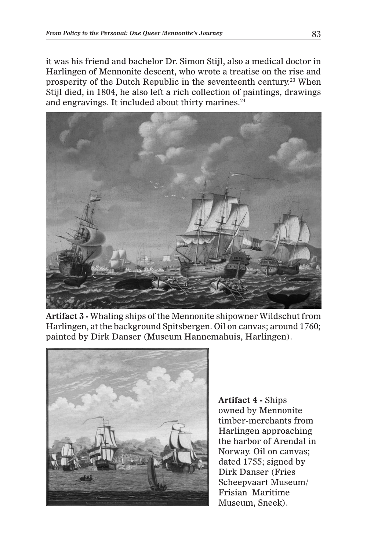it was his friend and bachelor Dr. Simon Stijl, also a medical doctor in Harlingen of Mennonite descent, who wrote a treatise on the rise and prosperity of the Dutch Republic in the seventeenth century.23 When Stijl died, in 1804, he also left a rich collection of paintings, drawings and engravings. It included about thirty marines.<sup>24</sup>



**Artifact 3 -** Whaling ships of the Mennonite shipowner Wildschut from Harlingen, at the background Spitsbergen. Oil on canvas; around 1760; painted by Dirk Danser (Museum Hannemahuis, Harlingen).



**Artifact 4 -** Ships owned by Mennonite timber-merchants from Harlingen approaching the harbor of Arendal in Norway. Oil on canvas; dated 1755; signed by Dirk Danser (Fries Scheepvaart Museum/ Frisian Maritime Museum, Sneek).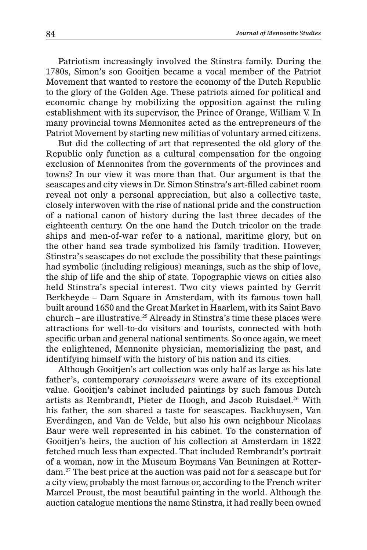Patriotism increasingly involved the Stinstra family. During the 1780s, Simon's son Gooitjen became a vocal member of the Patriot Movement that wanted to restore the economy of the Dutch Republic to the glory of the Golden Age. These patriots aimed for political and economic change by mobilizing the opposition against the ruling establishment with its supervisor, the Prince of Orange, William V. In many provincial towns Mennonites acted as the entrepreneurs of the Patriot Movement by starting new militias of voluntary armed citizens.

But did the collecting of art that represented the old glory of the Republic only function as a cultural compensation for the ongoing exclusion of Mennonites from the governments of the provinces and towns? In our view it was more than that. Our argument is that the seascapes and city views in Dr. Simon Stinstra's art-filled cabinet room reveal not only a personal appreciation, but also a collective taste, closely interwoven with the rise of national pride and the construction of a national canon of history during the last three decades of the eighteenth century. On the one hand the Dutch tricolor on the trade ships and men-of-war refer to a national, maritime glory, but on the other hand sea trade symbolized his family tradition. However, Stinstra's seascapes do not exclude the possibility that these paintings had symbolic (including religious) meanings, such as the ship of love, the ship of life and the ship of state. Topographic views on cities also held Stinstra's special interest. Two city views painted by Gerrit Berkheyde – Dam Square in Amsterdam, with its famous town hall built around 1650 and the Great Market in Haarlem, with its Saint Bavo church – are illustrative.25 Already in Stinstra's time these places were attractions for well-to-do visitors and tourists, connected with both specific urban and general national sentiments. So once again, we meet the enlightened, Mennonite physician, memorializing the past, and identifying himself with the history of his nation and its cities.

Although Gooitjen's art collection was only half as large as his late father's, contemporary *connoisseurs* were aware of its exceptional value. Gooitjen's cabinet included paintings by such famous Dutch artists as Rembrandt, Pieter de Hoogh, and Jacob Ruisdael.<sup>26</sup> With his father, the son shared a taste for seascapes. Backhuysen, Van Everdingen, and Van de Velde, but also his own neighbour Nicolaas Baur were well represented in his cabinet. To the consternation of Gooitjen's heirs, the auction of his collection at Amsterdam in 1822 fetched much less than expected. That included Rembrandt's portrait of a woman, now in the Museum Boymans Van Beuningen at Rotterdam.27 The best price at the auction was paid not for a seascape but for a city view, probably the most famous or, according to the French writer Marcel Proust, the most beautiful painting in the world. Although the auction catalogue mentions the name Stinstra, it had really been owned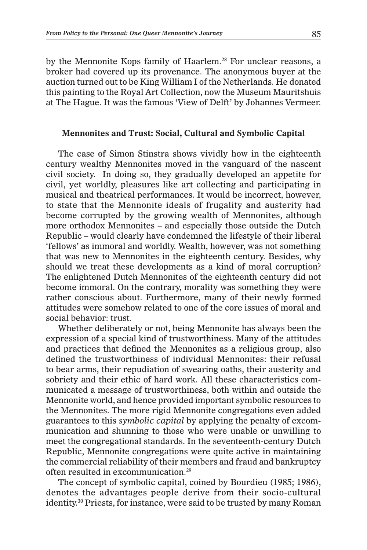by the Mennonite Kops family of Haarlem.<sup>28</sup> For unclear reasons, a broker had covered up its provenance. The anonymous buyer at the auction turned out to be King William I of the Netherlands. He donated this painting to the Royal Art Collection, now the Museum Mauritshuis at The Hague. It was the famous 'View of Delft' by Johannes Vermeer.

#### **Mennonites and Trust: Social, Cultural and Symbolic Capital**

The case of Simon Stinstra shows vividly how in the eighteenth century wealthy Mennonites moved in the vanguard of the nascent civil society. In doing so, they gradually developed an appetite for civil, yet worldly, pleasures like art collecting and participating in musical and theatrical performances. It would be incorrect, however, to state that the Mennonite ideals of frugality and austerity had become corrupted by the growing wealth of Mennonites, although more orthodox Mennonites – and especially those outside the Dutch Republic – would clearly have condemned the lifestyle of their liberal 'fellows' as immoral and worldly. Wealth, however, was not something that was new to Mennonites in the eighteenth century. Besides, why should we treat these developments as a kind of moral corruption? The enlightened Dutch Mennonites of the eighteenth century did not become immoral. On the contrary, morality was something they were rather conscious about. Furthermore, many of their newly formed attitudes were somehow related to one of the core issues of moral and social behavior: trust.

Whether deliberately or not, being Mennonite has always been the expression of a special kind of trustworthiness. Many of the attitudes and practices that defined the Mennonites as a religious group, also defined the trustworthiness of individual Mennonites: their refusal to bear arms, their repudiation of swearing oaths, their austerity and sobriety and their ethic of hard work. All these characteristics communicated a message of trustworthiness, both within and outside the Mennonite world, and hence provided important symbolic resources to the Mennonites. The more rigid Mennonite congregations even added guarantees to this *symbolic capital* by applying the penalty of excommunication and shunning to those who were unable or unwilling to meet the congregational standards. In the seventeenth-century Dutch Republic, Mennonite congregations were quite active in maintaining the commercial reliability of their members and fraud and bankruptcy often resulted in excommunication.29

The concept of symbolic capital, coined by Bourdieu (1985; 1986), denotes the advantages people derive from their socio-cultural identity.30 Priests, for instance, were said to be trusted by many Roman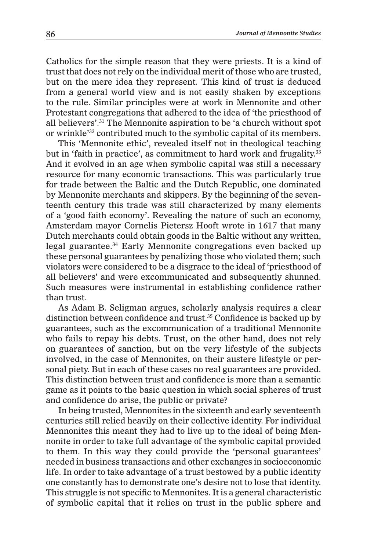Catholics for the simple reason that they were priests. It is a kind of trust that does not rely on the individual merit of those who are trusted, but on the mere idea they represent. This kind of trust is deduced from a general world view and is not easily shaken by exceptions to the rule. Similar principles were at work in Mennonite and other Protestant congregations that adhered to the idea of 'the priesthood of all believers'.31 The Mennonite aspiration to be 'a church without spot or wrinkle'32 contributed much to the symbolic capital of its members.

This 'Mennonite ethic', revealed itself not in theological teaching but in 'faith in practice', as commitment to hard work and frugality.<sup>33</sup> And it evolved in an age when symbolic capital was still a necessary resource for many economic transactions. This was particularly true for trade between the Baltic and the Dutch Republic, one dominated by Mennonite merchants and skippers. By the beginning of the seventeenth century this trade was still characterized by many elements of a 'good faith economy'. Revealing the nature of such an economy, Amsterdam mayor Cornelis Pietersz Hooft wrote in 1617 that many Dutch merchants could obtain goods in the Baltic without any written, legal guarantee.34 Early Mennonite congregations even backed up these personal guarantees by penalizing those who violated them; such violators were considered to be a disgrace to the ideal of 'priesthood of all believers' and were excommunicated and subsequently shunned. Such measures were instrumental in establishing confidence rather than trust.

As Adam B. Seligman argues, scholarly analysis requires a clear distinction between confidence and trust.35 Confidence is backed up by guarantees, such as the excommunication of a traditional Mennonite who fails to repay his debts. Trust, on the other hand, does not rely on guarantees of sanction, but on the very lifestyle of the subjects involved, in the case of Mennonites, on their austere lifestyle or personal piety. But in each of these cases no real guarantees are provided. This distinction between trust and confidence is more than a semantic game as it points to the basic question in which social spheres of trust and confidence do arise, the public or private?

In being trusted, Mennonites in the sixteenth and early seventeenth centuries still relied heavily on their collective identity. For individual Mennonites this meant they had to live up to the ideal of being Mennonite in order to take full advantage of the symbolic capital provided to them. In this way they could provide the 'personal guarantees' needed in business transactions and other exchanges in socioeconomic life. In order to take advantage of a trust bestowed by a public identity one constantly has to demonstrate one's desire not to lose that identity. This struggle is not specific to Mennonites. It is a general characteristic of symbolic capital that it relies on trust in the public sphere and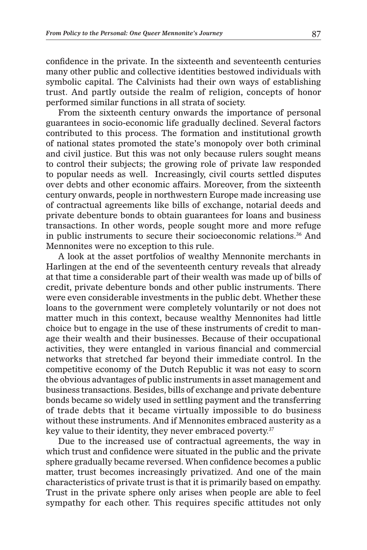confidence in the private. In the sixteenth and seventeenth centuries many other public and collective identities bestowed individuals with symbolic capital. The Calvinists had their own ways of establishing trust. And partly outside the realm of religion, concepts of honor performed similar functions in all strata of society.

From the sixteenth century onwards the importance of personal guarantees in socio-economic life gradually declined. Several factors contributed to this process. The formation and institutional growth of national states promoted the state's monopoly over both criminal and civil justice. But this was not only because rulers sought means to control their subjects; the growing role of private law responded to popular needs as well. Increasingly, civil courts settled disputes over debts and other economic affairs. Moreover, from the sixteenth century onwards, people in northwestern Europe made increasing use of contractual agreements like bills of exchange, notarial deeds and private debenture bonds to obtain guarantees for loans and business transactions. In other words, people sought more and more refuge in public instruments to secure their socioeconomic relations.36 And Mennonites were no exception to this rule.

A look at the asset portfolios of wealthy Mennonite merchants in Harlingen at the end of the seventeenth century reveals that already at that time a considerable part of their wealth was made up of bills of credit, private debenture bonds and other public instruments. There were even considerable investments in the public debt. Whether these loans to the government were completely voluntarily or not does not matter much in this context, because wealthy Mennonites had little choice but to engage in the use of these instruments of credit to manage their wealth and their businesses. Because of their occupational activities, they were entangled in various financial and commercial networks that stretched far beyond their immediate control. In the competitive economy of the Dutch Republic it was not easy to scorn the obvious advantages of public instruments in asset management and business transactions. Besides, bills of exchange and private debenture bonds became so widely used in settling payment and the transferring of trade debts that it became virtually impossible to do business without these instruments. And if Mennonites embraced austerity as a key value to their identity, they never embraced poverty.<sup>37</sup>

Due to the increased use of contractual agreements, the way in which trust and confidence were situated in the public and the private sphere gradually became reversed. When confidence becomes a public matter, trust becomes increasingly privatized. And one of the main characteristics of private trust is that it is primarily based on empathy. Trust in the private sphere only arises when people are able to feel sympathy for each other. This requires specific attitudes not only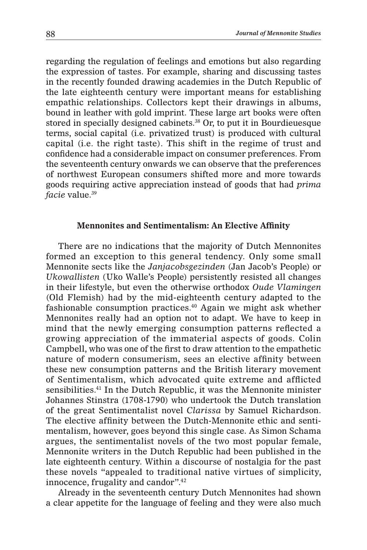regarding the regulation of feelings and emotions but also regarding the expression of tastes. For example, sharing and discussing tastes in the recently founded drawing academies in the Dutch Republic of the late eighteenth century were important means for establishing empathic relationships. Collectors kept their drawings in albums, bound in leather with gold imprint. These large art books were often stored in specially designed cabinets.38 Or, to put it in Bourdieuesque terms, social capital (i.e. privatized trust) is produced with cultural capital (i.e. the right taste). This shift in the regime of trust and confidence had a considerable impact on consumer preferences. From the seventeenth century onwards we can observe that the preferences of northwest European consumers shifted more and more towards goods requiring active appreciation instead of goods that had *prima facie* value.<sup>39</sup>

#### **Mennonites and Sentimentalism: An Elective Affinity**

There are no indications that the majority of Dutch Mennonites formed an exception to this general tendency. Only some small Mennonite sects like the *Janjacobsgezinden* (Jan Jacob's People) or *Ukowallisten* (Uko Walle's People) persistently resisted all changes in their lifestyle, but even the otherwise orthodox *Oude Vlamingen* (Old Flemish) had by the mid-eighteenth century adapted to the fashionable consumption practices.40 Again we might ask whether Mennonites really had an option not to adapt. We have to keep in mind that the newly emerging consumption patterns reflected a growing appreciation of the immaterial aspects of goods. Colin Campbell, who was one of the first to draw attention to the empathetic nature of modern consumerism, sees an elective affinity between these new consumption patterns and the British literary movement of Sentimentalism, which advocated quite extreme and afflicted sensibilities.<sup>41</sup> In the Dutch Republic, it was the Mennonite minister Johannes Stinstra (1708-1790) who undertook the Dutch translation of the great Sentimentalist novel *Clarissa* by Samuel Richardson. The elective affinity between the Dutch-Mennonite ethic and sentimentalism, however, goes beyond this single case. As Simon Schama argues, the sentimentalist novels of the two most popular female, Mennonite writers in the Dutch Republic had been published in the late eighteenth century. Within a discourse of nostalgia for the past these novels "appealed to traditional native virtues of simplicity, innocence, frugality and candor".42

Already in the seventeenth century Dutch Mennonites had shown a clear appetite for the language of feeling and they were also much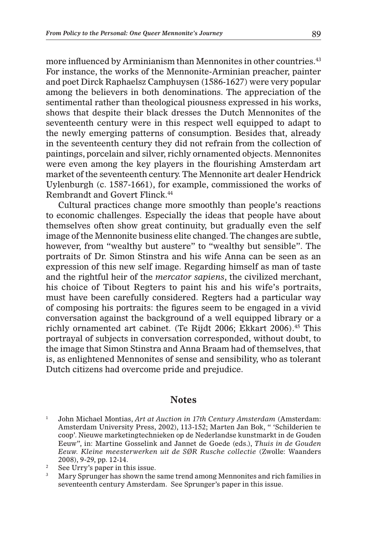more influenced by Arminianism than Mennonites in other countries.<sup>43</sup> For instance, the works of the Mennonite-Arminian preacher, painter and poet Dirck Raphaelsz Camphuysen (1586-1627) were very popular among the believers in both denominations. The appreciation of the sentimental rather than theological piousness expressed in his works, shows that despite their black dresses the Dutch Mennonites of the seventeenth century were in this respect well equipped to adapt to the newly emerging patterns of consumption. Besides that, already in the seventeenth century they did not refrain from the collection of paintings, porcelain and silver, richly ornamented objects. Mennonites were even among the key players in the flourishing Amsterdam art market of the seventeenth century. The Mennonite art dealer Hendrick Uylenburgh (c. 1587-1661), for example, commissioned the works of Rembrandt and Govert Flinck.44

Cultural practices change more smoothly than people's reactions to economic challenges. Especially the ideas that people have about themselves often show great continuity, but gradually even the self image of the Mennonite business elite changed. The changes are subtle, however, from "wealthy but austere" to "wealthy but sensible". The portraits of Dr. Simon Stinstra and his wife Anna can be seen as an expression of this new self image. Regarding himself as man of taste and the rightful heir of the *mercator sapiens*, the civilized merchant, his choice of Tibout Regters to paint his and his wife's portraits, must have been carefully considered. Regters had a particular way of composing his portraits: the figures seem to be engaged in a vivid conversation against the background of a well equipped library or a richly ornamented art cabinet. (Te Rijdt 2006; Ekkart 2006).<sup>45</sup> This portrayal of subjects in conversation corresponded, without doubt, to the image that Simon Stinstra and Anna Braam had of themselves, that is, as enlightened Mennonites of sense and sensibility, who as tolerant Dutch citizens had overcome pride and prejudice.

### **Notes**

<sup>1</sup> John Michael Montias, *Art at Auction in 17th Century Amsterdam* (Amsterdam: Amsterdam University Press, 2002), 113-152; Marten Jan Bok, " 'Schilderien te coop'. Nieuwe marketingtechnieken op de Nederlandse kunstmarkt in de Gouden Eeuw", in: Martine Gosselink and Jannet de Goede (eds.), *Thuis in de Gouden Eeuw. Kleine meesterwerken uit de SØR Rusche collectie* (Zwolle: Waanders 2008), 9-29, pp. 12-14.

<sup>2</sup> See Urry's paper in this issue.

<sup>3</sup> Mary Sprunger has shown the same trend among Mennonites and rich families in seventeenth century Amsterdam. See Sprunger's paper in this issue.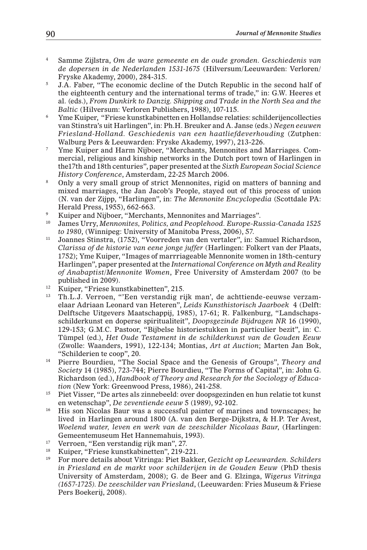- <sup>4</sup> Samme Zijlstra, *Om de ware gemeente en de oude gronden. Geschiedenis van de dopersen in de Nederlanden 1531-1675* (Hilversum/Leeuwarden: Verloren/ Fryske Akademy, 2000), 284-315.
- $5$  J.A. Faber, "The economic decline of the Dutch Republic in the second half of the eighteenth century and the international terms of trade," in: G.W. Heeres et al. (eds.), *From Dunkirk to Danzig. Shipping and Trade in the North Sea and the Baltic* (Hilversum: Verloren Publishers, 1988), 107-115.
- <sup>6</sup> Yme Kuiper, "Friese kunstkabinetten en Hollandse relaties: schilderijencollecties van Stinstra's uit Harlingen", in: Ph.H. Breuker and A. Janse (eds.) *Negen eeuwen Friesland-Holland. Geschiedenis van een haatliefdeverhouding* (Zutphen: Walburg Pers & Leeuwarden: Fryske Akademy, 1997), 213-226.
- <sup>7</sup> Yme Kuiper and Harm Nijboer, "Merchants, Mennonites and Marriages. Commercial, religious and kinship networks in the Dutch port town of Harlingen in the17th and 18th centuries", paper presented at the *Sixth European Social Science History Conference*, Amsterdam, 22-25 March 2006.
- <sup>8</sup> Only a very small group of strict Mennonites, rigid on matters of banning and mixed marriages, the Jan Jacob's People, stayed out of this process of union (N. van der Zijpp, "Harlingen", in: *The Mennonite Encyclopedia* (Scottdale PA: Herald Press, 1955), 662-663.
- <sup>9</sup> Kuiper and Nijboer, "Merchants, Mennonites and Marriages".<br><sup>10</sup> Innes Unux Mennonites, Politics and Beaplebood, Furone Pu
- <sup>10</sup> James Urry, *Mennonites, Politics, and Peoplehood. Europe-Russia-Canada 1525 to 1980*, (Winnipeg: University of Manitoba Press, 2006), 57.
- <sup>11</sup> Joannes Stinstra, (1752), "Voorreden van den vertaler", in: Samuel Richardson, *Clarissa of de historie van eene jonge juffer* (Harlingen: Folkert van der Plaats, 1752); Yme Kuiper, "Images of marrriageable Mennonite women in 18th-century Harlingen", paper presented at the *International Conference on Myth and Reality of Anabaptist/Mennonite Women*, Free University of Amsterdam 2007 (to be published in 2009).
- <sup>12</sup> Kuiper, "Friese kunstkabinetten", 215.
- <sup>13</sup> Th.L.J. Verroen, "'Een verstandig rijk man', de achttiende-eeuwse verzamelaar Adriaan Leonard van Heteren", *Leids Kunsthistorisch Jaarboek* 4 (Delft: Delftsche Uitgevers Maatschappij, 1985), 17-61; R. Falkenburg, "Landschapsschilderkunst en doperse spiritualiteit", *Doopsgezinde Bijdragen NR* 16 (1990), 129-153; G.M.C. Pastoor, "Bijbelse historiestukken in particulier bezit", in: C. Tümpel (ed.), *Het Oude Testament in de schilderkunst van de Gouden Eeuw* (Zwolle: Waanders, 1991), 122-134; Montias, *Art at Auction*; Marten Jan Bok, "Schilderien te coop", 20.
- <sup>14</sup> Pierre Bourdieu, "The Social Space and the Genesis of Groups", *Theory and Society* 14 (1985), 723-744; Pierre Bourdieu, "The Forms of Capital", in: John G. Richardson (ed.), *Handbook of Theory and Research for the Sociology of Education* (New York: Greenwood Press, 1986), 241-258.
- <sup>15</sup> Piet Visser, "De artes als zinnebeeld: over doopsgezinden en hun relatie tot kunst en wetenschap", *De zeventiende eeuw* 5 (1989), 92-102.
- <sup>16</sup> His son Nicolas Baur was a successful painter of marines and townscapes; he lived in Harlingen around 1800 (A. van den Berge-Dijkstra, & H.P. Ter Avest, *Woelend water, leven en werk van de zeeschilder Nicolaas Baur*, (Harlingen: Gemeentemuseum Het Hannemahuis, 1993).
- <sup>17</sup> Verroen, "Een verstandig rijk man",  $27$ .
- <sup>18</sup> Kuiper, "Friese kunstkabinetten", 219-221.
- <sup>19</sup> For more details about Vitringa: Piet Bakker, *Gezicht op Leeuwarden. Schilders in Friesland en de markt voor schilderijen in de Gouden Eeuw* (PhD thesis University of Amsterdam, 2008); G. de Beer and G. Elzinga, *Wigerus Vitringa (1657-1725). De zeeschilder van Friesland*, (Leeuwarden: Fries Museum & Friese Pers Boekerij, 2008).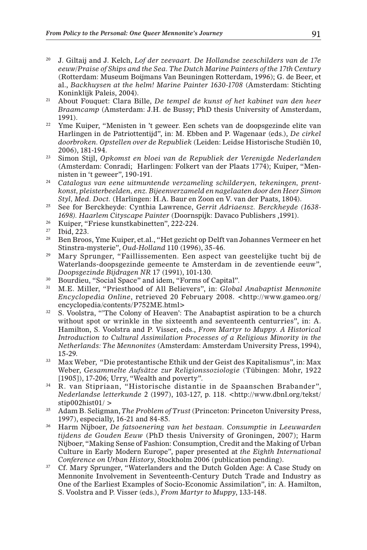- <sup>20</sup> J. Giltaij and J. Kelch, *Lof der zeevaart. De Hollandse zeeschilders van de 17e eeuw/Praise of Ships and the Sea. The Dutch Marine Painters of the 17th Century* (Rotterdam: Museum Boijmans Van Beuningen Rotterdam, 1996); G. de Beer, et al., *Backhuysen at the helm! Marine Painter 1630-1708* (Amsterdam: Stichting Koninklijk Paleis, 2004).
- <sup>21</sup> About Fouquet: Clara Bille, *De tempel de kunst of het kabinet van den heer Braamcamp* (Amsterdam: J.H. de Bussy; PhD thesis University of Amsterdam,
- 1991). 22 Yme Kuiper, "Menisten in 't geweer. Een schets van de doopsgezinde elite van Harlingen in de Patriottentijd", in: M. Ebben and P. Wagenaar (eds.), *De cirkel doorbroken. Opstellen over de Republiek* (Leiden: Leidse Historische Studiën 10, 2006), 181-194.
- <sup>23</sup> Simon Stijl, *Opkomst en bloei van de Republiek der Verenigde Nederlanden* (Amsterdam: Conradi; Harlingen: Folkert van der Plaats 1774); Kuiper, "Mennisten in 't geweer", 190-191.
- <sup>24</sup> *Catalogus van eene uitmuntende verzameling schilderyen, tekeningen, prentkonst, pleisterbeelden, enz. Bijeenverzameld en nagelaaten door den Heer Simon Styl, Med. Doct.* (Harlingen: H.A. Baur en Zoon en V. van der Paats, 1804).
- <sup>25</sup> See for Berckheyde: Cynthia Lawrence, *Gerrit Adriaensz. Berckheyde (1638- 1698). Haarlem Cityscape Painter* (Doornspijk: Davaco Publishers ,1991).
- <sup>26</sup> Kuiper, "Friese kunstkabinetten", 222-224.
- $\frac{27}{28}$  Ibid, 223.
- <sup>28</sup> Ben Broos, Yme Kuiper, et.al., "Het gezicht op Delft van Johannes Vermeer en het Stinstra-mysterie", *Oud-Holland* 110 (1996), 35-46.
- <sup>29</sup> Mary Sprunger, "Faillissementen. Een aspect van geestelijke tucht bij de Waterlands-doopsgezinde gemeente te Amsterdam in de zeventiende eeuw", *Doopsgezinde Bijdragen NR* 17 (1991), 101-130.
- <sup>30</sup> Bourdieu, "Social Space" and idem, "Forms of Capital".<br><sup>31</sup> M.F. Miller, "Priesthood of All Believers", in: Clabe
- <sup>31</sup> M.E. Miller, "Priesthood of All Believers", in: *Global Anabaptist Mennonite Encyclopedia Online*, retrieved 20 February 2008. <http://www.gameo.org/ encyclopedia/contents/P752ME.html>
- $32$  S. Voolstra, "The Colony of Heaven': The Anabaptist aspiration to be a church without spot or wrinkle in the sixteenth and seventeenth centurries", in: A. Hamilton, S. Voolstra and P. Visser, eds., *From Martyr to Muppy. A Historical Introduction to Cultural Assimilation Processes of a Religious Minority in the Netherlands: The Mennonites* (Amsterdam: Amsterdam University Press, 1994), 15-29.
- <sup>33</sup> Max Weber, "Die protestantische Ethik und der Geist des Kapitalismus", in: Max Weber, *Gesammelte Aufsätze zur Religionssoziologie* (Tübingen: Mohr, 1922 [1905]), 17-206; Urry, "Wealth and poverty".
- <sup>34</sup> R. van Stipriaan, "Historische distantie in de Spaanschen Brabander", *Nederlandse letterkunde* 2 (1997), 103-127, p. 118. <http://www.dbnl.org/tekst/  $\frac{\text{stip002}}{\text{hist01}}$
- <sup>35</sup> Adam B. Seligman, *The Problem of Trust* (Princeton: Princeton University Press, 1997), especially, 16-21 and 84-85.
- <sup>36</sup> Harm Nijboer, *De fatsoenering van het bestaan. Consumptie in Leeuwarden tijdens de Gouden Eeuw* (PhD thesis University of Groningen, 2007); Harm Nijboer, "Making Sense of Fashion: Consumption, Credit and the Making of Urban Culture in Early Modern Europe", paper presented at *the Eighth International Conference on Urban History*, Stockholm 2006 (publication pending).
- <sup>37</sup> Cf. Mary Sprunger, "Waterlanders and the Dutch Golden Age: A Case Study on Mennonite Involvement in Seventeenth-Century Dutch Trade and Industry as One of the Earliest Examples of Socio-Economic Assimilation", in: A. Hamilton, S. Voolstra and P. Visser (eds.), *From Martyr to Muppy*, 133-148.